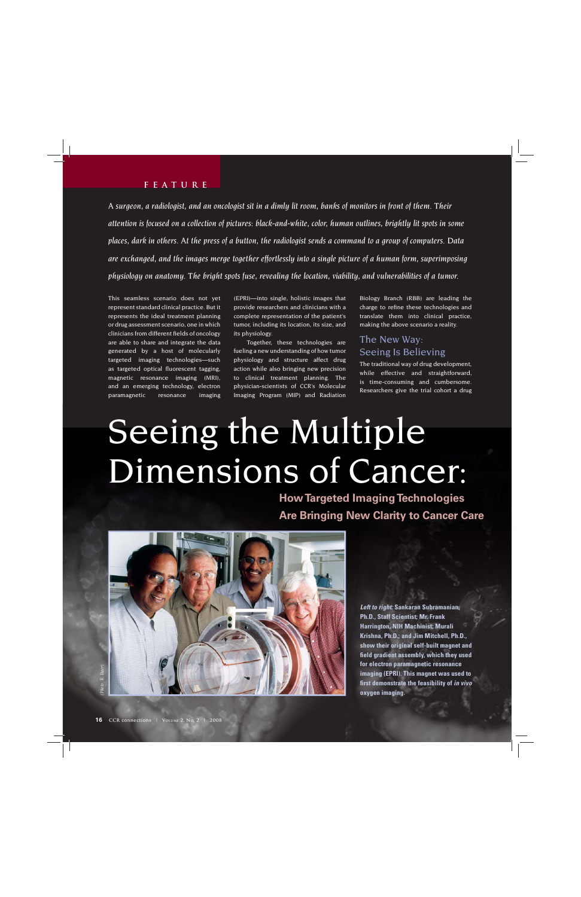#### **feature**

*A surgeon, a radiologist, and an oncologist sit in a dimly lit room, banks of monitors in front of them. Their attention is focused on a collection of pictures: black-and-white, color, human outlines, brightly lit spots in some places, dark in others. At the press of a button, the radiologist sends a command to a group of computers. Data are exchanged, and the images merge together effortlessly into a single picture of a human form, superimposing physiology on anatomy. The bright spots fuse, revealing the location, viability, and vulnerabilities of a tumor.*

This seamless scenario does not yet represent standard clinical practice. But it represents the ideal treatment planning or drug assessment scenario, one in which clinicians from different fields of oncology are able to share and integrate the data generated by a host of molecularly targeted imaging technologies—such as targeted optical fluorescent tagging, magnetic resonance imaging (MRI), and an emerging technology, electron paramagnetic resonance imaging (EPRI)—into single, holistic images that provide researchers and clinicians with a complete representation of the patient's tumor, including its location, its size, and its physiology.

Together, these technologies are fueling a new understanding of how tumor physiology and structure affect drug action while also bringing new precision to clinical treatment planning. The physician-scientists of CCR's Molecular Imaging Program (MIP) and Radiation

Biology Branch (RBB) are leading the charge to refine these technologies and translate them into clinical practice, making the above scenario a reality.

## The New Way: Seeing Is Believing

The traditional way of drug development, while effective and straightforward, is time-consuming and cumbersome. Researchers give the trial cohort a drug

## Seeing the Multiple Dimensions of Cancer:

**How Targeted Imaging Technologies Are Bringing New Clarity to Cancer Care**



*Left to right:* **Sankaran Subramanian, Ph.D., Staff Scientist; Mr. Frank Harrington, NIH Machinist; Murali Krishna, Ph.D.; and Jim Mitchell, Ph.D., show their original self-built magnet and fi eld gradient assembly, which they used for electron paramagnetic resonance imaging (EPRI). This magnet was used to fi rst demonstrate the feasibility of** *in vivo*  **oxygen imaging.**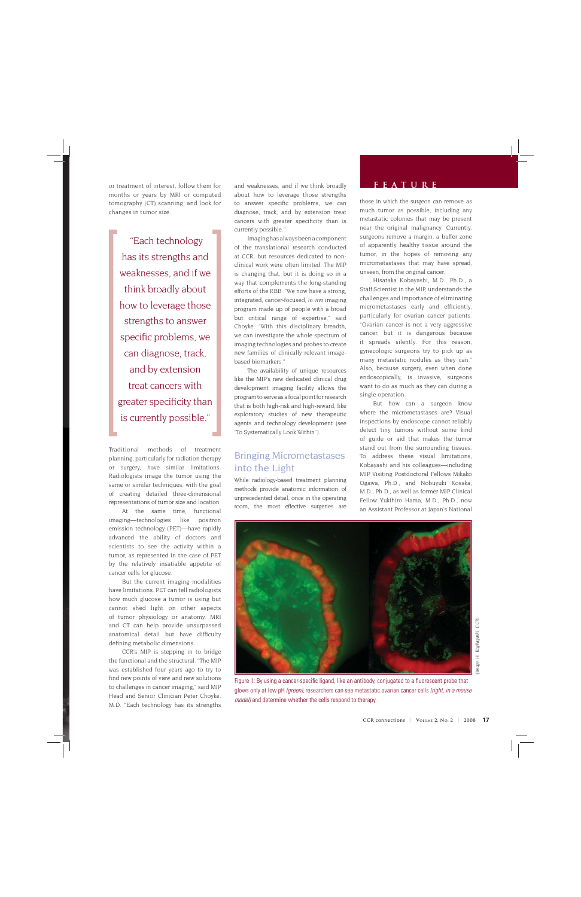months or years by MRI or computed tomography (CT) scanning, and look for changes in tumor size.

 "Each technology has its strengths and weaknesses, and if we think broadly about how to leverage those strengths to answer specific problems, we can diagnose, track, and by extension treat cancers with greater specificity than is currently possible."

Traditional methods of treatment planning, particularly for radiation therapy or surgery, have similar limitations. Radiologists image the tumor using the same or similar techniques, with the goal of creating detailed three-dimensional representations of tumor size and location.

At the same time, functional imaging—technologies like positron emission technology (PET)—have rapidly advanced the ability of doctors and scientists to see the activity within a tumor, as represented in the case of PET by the relatively insatiable appetite of cancer cells for glucose.

But the current imaging modalities have limitations. PET can tell radiologists how much glucose a tumor is using but cannot shed light on other aspects of tumor physiology or anatomy. MRI and CT can help provide unsurpassed anatomical detail but have difficulty defining metabolic dimensions.

CCR's MIP is stepping in to bridge the functional and the structural. "The MIP was established four years ago to try to find new points of view and new solutions to challenges in cancer imaging," said MIP Head and Senior Clinician Peter Choyke, M.D. "Each technology has its strengths

or treatment of interest, follow them for **feature** and weaknesses, and if we think broadly **following FEATURE** about how to leverage those strengths to answer specific problems, we can diagnose, track, and by extension treat cancers with greater specificity than is currently possible."

> Imaging has always been a component of the translational research conducted at CCR, but resources dedicated to nonclinical work were often limited. The MIP is changing that, but it is doing so in a way that complements the long-standing efforts of the RBB. "We now have a strong, integrated, cancer-focused, *in vivo* imaging program made up of people with a broad but critical range of expertise," said Choyke. "With this disciplinary breadth, we can investigate the whole spectrum of imaging technologies and probes to create new families of clinically relevant imagebased biomarkers."

> The availability of unique resources like the MIP's new dedicated clinical drug development imaging facility allows the program to serve as a focal point for research that is both high-risk and high-reward, like exploratory studies of new therapeutic agents and technology development (see "To Systematically Look Within").

### Bringing Micrometastases into the Light

While radiology-based treatment planning methods provide anatomic information of unprecedented detail, once in the operating room, the most effective surgeries are

those in which the surgeon can remove as much tumor as possible, including any metastatic colonies that may be present near the original malignancy. Currently, surgeons remove a margin, a buffer zone of apparently healthy tissue around the tumor, in the hopes of removing any micrometastases that may have spread, unseen, from the original cancer.

Hisataka Kobayashi, M.D., Ph.D., a Staff Scientist in the MIP, understands the challenges and importance of eliminating micrometastases early and efficiently, particularly for ovarian cancer patients. "Ovarian cancer is not a very aggressive cancer, but it is dangerous because it spreads silently. For this reason, gynecologic surgeons try to pick up as many metastatic nodules as they can." Also, because surgery, even when done endoscopically, is invasive, surgeons want to do as much as they can during a single operation.

But how can a surgeon know where the micrometastases are? Visual inspections by endoscope cannot reliably detect tiny tumors without some kind of guide or aid that makes the tumor stand out from the surrounding tissues. To address these visual limitations, Kobayashi and his colleagues—including MIP Visiting Postdoctoral Fellows Mikako Ogawa, Ph.D., and Nobuyuki Kosaka, M.D., Ph.D., as well as former MIP Clinical Fellow Yukihiro Hama, M.D., Ph.D., now an Assistant Professor at Japan's National



H. Koybayashi, CCR) *(Image: H. Koybayashi, CCR)*

Figure 1: By using a cancer-specific ligand, like an antibody, conjugated to a fluorescent probe that glows only at low pH *(green)*, researchers can see metastatic ovarian cancer cells *(right, in a mouse model)* and determine whether the cells respond to therapy.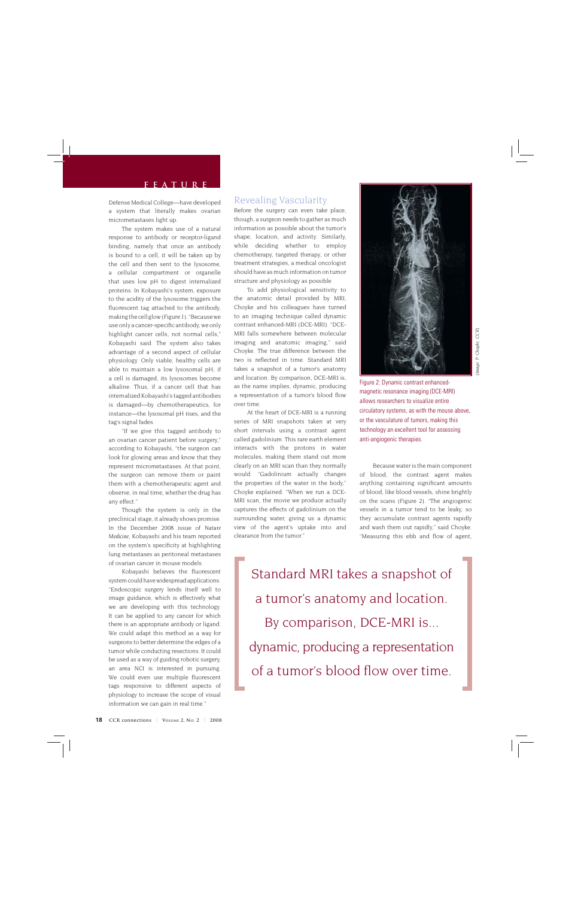Defense Medical College—have developed a system that literally makes ovarian micrometastases light up.

The system makes use of a natural response to antibody or receptor-ligand binding, namely that once an antibody is bound to a cell, it will be taken up by the cell and then sent to the lysosome, a cellular compartment or organelle that uses low pH to digest internalized proteins. In Kobayashi's system, exposure to the acidity of the lysosome triggers the fluorescent tag attached to the antibody, making the cell glow (Figure 1). "Because we use only a cancer-specific antibody, we only highlight cancer cells, not normal cells," Kobayashi said. The system also takes advantage of a second aspect of cellular physiology. Only viable, healthy cells are able to maintain a low lysosomal pH; if a cell is damaged, its lysosomes become alkaline. Thus, if a cancer cell that has internalized Kobayashi's tagged antibodies is damaged—by chemotherapeutics, for instance—the lysosomal pH rises, and the tag's signal fades.

"If we give this tagged antibody to an ovarian cancer patient before surgery," according to Kobayashi, "the surgeon can look for glowing areas and know that they represent micrometastases. At that point, the surgeon can remove them or paint them with a chemotherapeutic agent and observe, in real time, whether the drug has any effect."

Though the system is only in the preclinical stage, it already shows promise. In the December 2008 issue of *Nature Medicine*, Kobayashi and his team reported on the system's specificity at highlighting lung metastases as peritoneal metastases of ovarian cancer in mouse models.

Kobayashi believes the fluorescent system could have widespread applications. "Endoscopic surgery lends itself well to image guidance, which is effectively what we are developing with this technology. It can be applied to any cancer for which there is an appropriate antibody or ligand. We could adapt this method as a way for surgeons to better determine the edges of a tumor while conducting resections. It could be used as a way of guiding robotic surgery, an area NCI is interested in pursuing. We could even use multiple fluorescent tags responsive to different aspects of physiology to increase the scope of visual information we can gain in real time."

#### Revealing Vascularity

Before the surgery can even take place, though, a surgeon needs to gather as much information as possible about the tumor's shape, location, and activity. Similarly, while deciding whether to employ chemotherapy, targeted therapy, or other treatment strategies, a medical oncologist should have as much information on tumor structure and physiology as possible.

To add physiological sensitivity to the anatomic detail provided by MRI, Choyke and his colleagues have turned to an imaging technique called dynamic contrast enhanced-MRI (DCE-MRI). "DCE-MRI falls somewhere between molecular imaging and anatomic imaging," said Choyke. The true difference between the two is reflected in time. Standard MRI takes a snapshot of a tumor's anatomy and location. By comparison, DCE-MRI is, as the name implies, dynamic, producing a representation of a tumor's blood flow over time.

At the heart of DCE-MRI is a running series of MRI snapshots taken at very short intervals using a contrast agent called gadolinium. This rare earth element interacts with the protons in water molecules, making them stand out more clearly on an MRI scan than they normally would. "Gadolinium actually changes the properties of the water in the body," Choyke explained. "When we run a DCE-MRI scan, the movie we produce actually captures the effects of gadolinium on the surrounding water, giving us a dynamic view of the agent's uptake into and clearance from the tumor."



Figure 2: Dynamic contrast enhancedmagnetic resonance imaging (DCE-MRI) allows researchers to visualize entire circulatory systems, as with the mouse above, or the vasculature of tumors, making this technology an excellent tool for assessing anti-angiogenic therapies.

Because water is the main component of blood, the contrast agent makes anything containing significant amounts of blood, like blood vessels, shine brightly on the scans (Figure 2). "The angiogenic vessels in a tumor tend to be leaky, so they accumulate contrast agents rapidly and wash them out rapidly," said Choyke. "Measuring this ebb and flow of agent,

Standard MRI takes a snapshot of a tumor's anatomy and location. By comparison, DCE-MRI is... dynamic, producing a representation of a tumor's blood flow over time.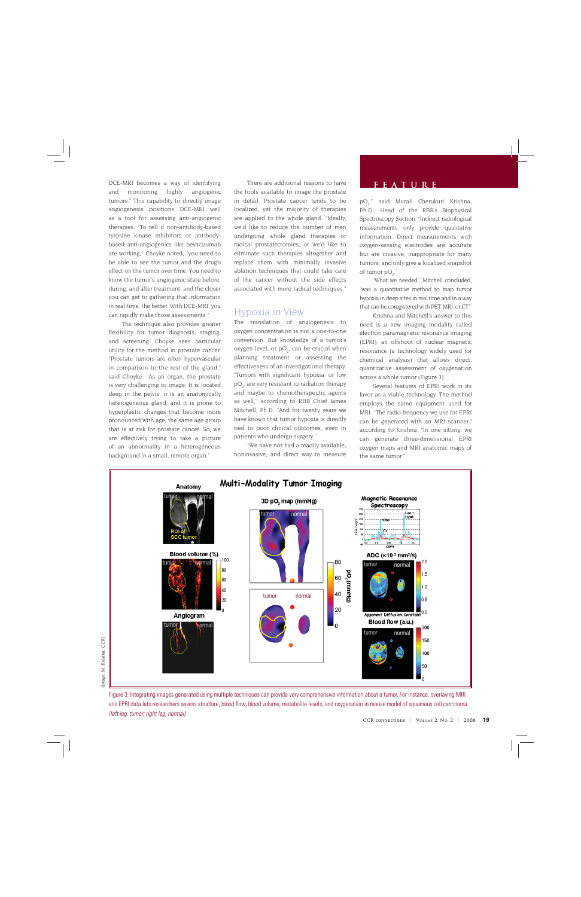**find DCE-MRI** becomes a way of identifying There are additional reasons to have **FEATURE**<br>and monitoring highly angiogenic the tools available to image the prostate and monitoring highly tumors." This capability to directly image angiogenesis positions DCE-MRI well as a tool for assessing anti-angiogenic therapies. "To tell if non-antibody-based tyrosine kinase inhibitors or antibodybased anti-angiogenics like bevacizumab are working," Choyke noted, "you need to be able to see the tumor and the drug's effect on the tumor over time. You need to know the tumor's angiogenic state before, during, and after treatment, and the closer you can get to gathering that information in real time, the better. With DCE-MRI, you can rapidly make those assessments."

The technique also provides greater flexibility for tumor diagnosis, staging, and screening. Choyke sees particular utility for the method in prostate cancer. "Prostate tumors are often hypervascular in comparison to the rest of the gland," said Choyke. "As an organ, the prostate is very challenging to image. It is located deep in the pelvis; it is an anatomically heterogeneous gland, and it is prone to hyperplastic changes that become more pronounced with age, the same age group that is at risk for prostate cancer. So, we are effectively trying to take a picture of an abnormality in a heterogeneous background in a small, remote organ."

There are additional reasons to have the tools available to image the prostate in detail. Prostate cancer tends to be localized, yet the majority of therapies are applied to the whole gland. "Ideally, we'd like to reduce the number of men undergoing whole gland therapies or radical prostatectomies, or we'd like to eliminate such therapies altogether and replace them with minimally invasive ablation techniques that could take care of the cancer without the side effects associated with more radical techniques."

#### Hypoxia in View

The translation of angiogenesis to oxygen concentration is not a one-to-one conversion. But knowledge of a tumor's oxygen level, or  $pO_{2'}$  can be crucial when planning treatment or assessing the effectiveness of an investigational therapy. "Tumors with significant hypoxia, or low  $\tt pO_2$ , are very resistant to radiation therapy and maybe to chemotherapeutic agents as well," according to RBB Chief James Mitchell, Ph.D. "And for twenty years we have known that tumor hypoxia is directly tied to poor clinical outcomes, even in patients who undergo surgery."

"We have not had a readily available, noninvasive, and direct way to measure

pO<sub>2</sub>," said Murali Cherukuri Krishna, Ph.D., Head of the RBB's Biophysical Spectroscopy Section. "Indirect radiological measurements only provide qualitative information. Direct measurements with oxygen-sensing electrodes are accurate but are invasive, inappropriate for many tumors, and only give a localized snapshot of tumor  $pO_2$ ."

"What we needed," Mitchell concluded, "was a quantitative method to map tumor hypoxia in deep sites in real time and in a way that can be coregistered with PET, MRI, or CT."

Krishna and Mitchell's answer to this need is a new imaging modality called electron paramagnetic resonance imaging (EPRI), an offshoot of nuclear magnetic resonance (a technology widely used for chemical analysis) that allows direct, quantitative assessment of oxygenation across a whole tumor (Figure 3).

Several features of EPRI work in its favor as a viable technology. The method employs the same equipment used for MRI. "The radio frequency we use for EPRI can be generated with an MRI scanner," according to Krishna. "In one sitting, we can generate three-dimensional EPRI oxygen maps and MRI anatomic maps of the same tumor."



Figure 3: Integrating images generated using multiple techniques can provide very comprehensive information about a tumor. For instance, overlaying MRI and EPRI data lets researchers assess structure, blood flow, blood volume, metabolite levels, and oxygenation in mouse model of squamous cell carcinoma. *(left leg, tumor; right leg, normal)*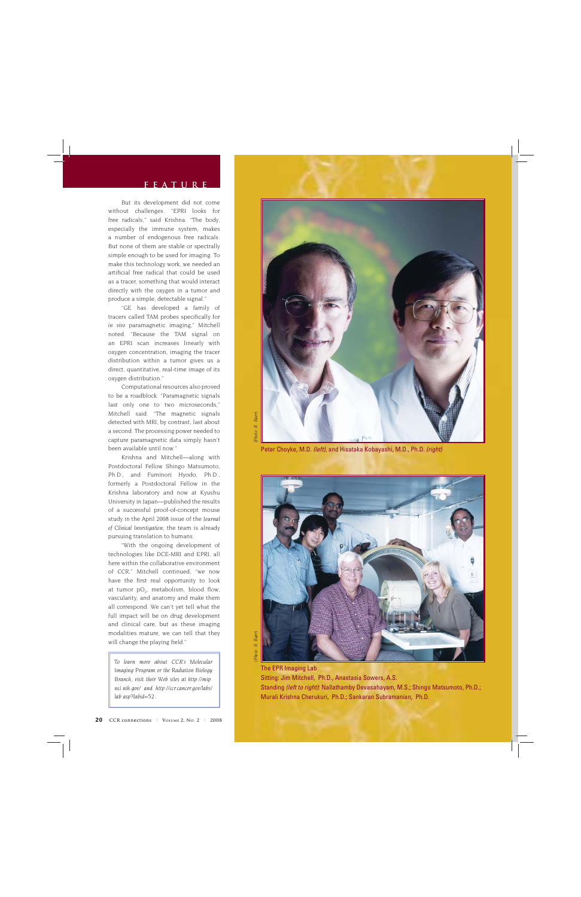#### **feature**

But its development did not come without challenges. "EPRI looks for free radicals," said Krishna. "The body, especially the immune system, makes a number of endogenous free radicals. But none of them are stable or spectrally simple enough to be used for imaging. To make this technology work, we needed an artificial free radical that could be used as a tracer, something that would interact directly with the oxygen in a tumor and produce a simple, detectable signal."

"GE has developed a family of tracers called TAM probes specifically for *in vivo* paramagnetic imaging," Mitchell noted. "Because the TAM signal on an EPRI scan increases linearly with oxygen concentration, imaging the tracer distribution within a tumor gives us a direct, quantitative, real-time image of its oxygen distribution."

Computational resources also proved to be a roadblock. "Paramagnetic signals last only one to two microseconds," Mitchell said. "The magnetic signals detected with MRI, by contrast, last about a second. The processing power needed to capture paramagnetic data simply hasn't been available until now."

Krishna and Mitchell—along with Postdoctoral Fellow Shingo Matsumoto, Ph.D., and Fuminori Hyodo, Ph.D., formerly a Postdoctoral Fellow in the Krishna laboratory and now at Kyushu University in Japan—published the results of a successful proof-of-concept mouse study in the April 2008 issue of the *Journal of Clinical Investigation*; the team is already pursuing translation to humans.

"With the ongoing development of technologies like DCE-MRI and EPRI, all here within the collaborative environment of CCR," Mitchell continued, "we now have the first real opportunity to look at tumor  $pO_2$ , metabolism, blood flow, vascularity, and anatomy and make them all correspond. We can't yet tell what the full impact will be on drug development and clinical care, but as these imaging modalities mature, we can tell that they will change the playing field."

*To learn more about CCR's Molecular Imaging Program or the Radiation Biology Branch, visit their Web sites at http://mip. nci.nih.gov/ and http://ccr.cancer.gov/labs/ lab.asp?labid=52.*







The EPR Imaging Lab Sitting: Jim Mitchell, Ph.D., Anastasia Sowers, A.S. Standing *(left to right)*: Nallathamby Devasahayam, M.S.; Shingo Matsumoto, Ph.D.; Murali Krishna Cherukuri, Ph.D.; Sankaran Subramanian, Ph.D.